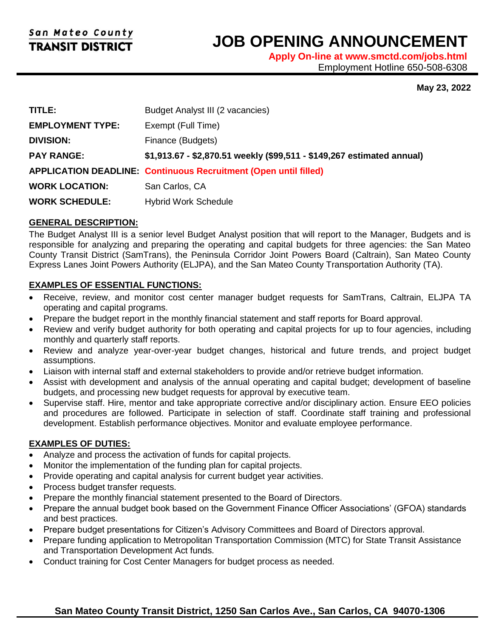l

# **JOB OPENING ANNOUNCEMENT**

**Apply On-line at www.smctd.com/jobs.html** Employment Hotline 650-508-6308

#### **May 23, 2022**

| TITLE:                  | Budget Analyst III (2 vacancies)                                        |
|-------------------------|-------------------------------------------------------------------------|
| <b>EMPLOYMENT TYPE:</b> | Exempt (Full Time)                                                      |
| <b>DIVISION:</b>        | Finance (Budgets)                                                       |
| <b>PAY RANGE:</b>       | \$1,913.67 - \$2,870.51 weekly (\$99,511 - \$149,267 estimated annual)  |
|                         | <b>APPLICATION DEADLINE: Continuous Recruitment (Open until filled)</b> |
| <b>WORK LOCATION:</b>   | San Carlos, CA                                                          |
| <b>WORK SCHEDULE:</b>   | <b>Hybrid Work Schedule</b>                                             |

#### **GENERAL DESCRIPTION:**

The Budget Analyst III is a senior level Budget Analyst position that will report to the Manager, Budgets and is responsible for analyzing and preparing the operating and capital budgets for three agencies: the San Mateo County Transit District (SamTrans), the Peninsula Corridor Joint Powers Board (Caltrain), San Mateo County Express Lanes Joint Powers Authority (ELJPA), and the San Mateo County Transportation Authority (TA).

#### **EXAMPLES OF ESSENTIAL FUNCTIONS:**

- Receive, review, and monitor cost center manager budget requests for SamTrans, Caltrain, ELJPA TA operating and capital programs.
- Prepare the budget report in the monthly financial statement and staff reports for Board approval.
- Review and verify budget authority for both operating and capital projects for up to four agencies, including monthly and quarterly staff reports.
- Review and analyze year-over-year budget changes, historical and future trends, and project budget assumptions.
- Liaison with internal staff and external stakeholders to provide and/or retrieve budget information.
- Assist with development and analysis of the annual operating and capital budget; development of baseline budgets, and processing new budget requests for approval by executive team.
- Supervise staff. Hire, mentor and take appropriate corrective and/or disciplinary action. Ensure EEO policies and procedures are followed. Participate in selection of staff. Coordinate staff training and professional development. Establish performance objectives. Monitor and evaluate employee performance.

#### **EXAMPLES OF DUTIES:**

- Analyze and process the activation of funds for capital projects.
- Monitor the implementation of the funding plan for capital projects.
- Provide operating and capital analysis for current budget year activities.
- Process budget transfer requests.
- Prepare the monthly financial statement presented to the Board of Directors.
- Prepare the annual budget book based on the Government Finance Officer Associations' (GFOA) standards and best practices.
- Prepare budget presentations for Citizen's Advisory Committees and Board of Directors approval.
- Prepare funding application to Metropolitan Transportation Commission (MTC) for State Transit Assistance and Transportation Development Act funds.
- Conduct training for Cost Center Managers for budget process as needed.